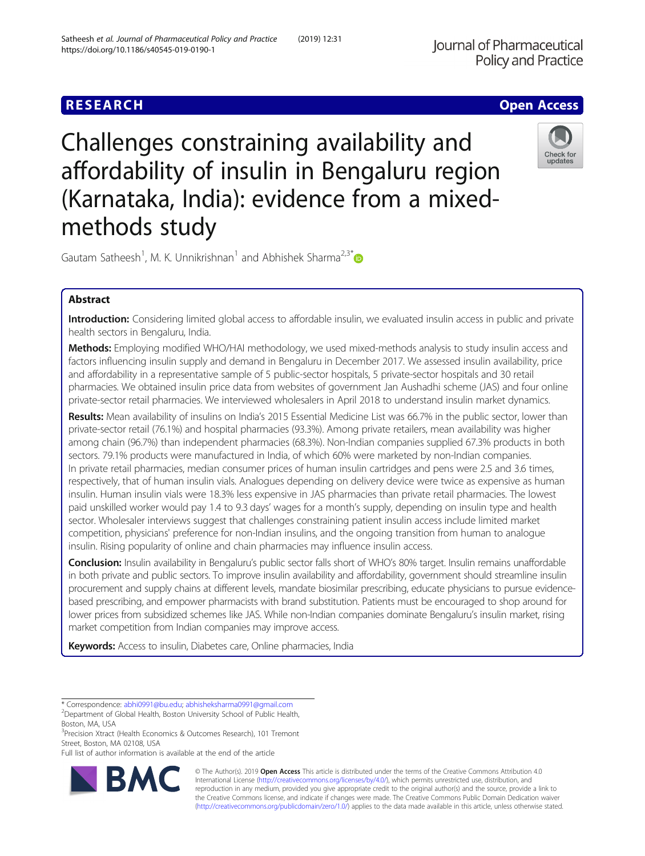# **RESEARCH CHE Open Access**

Challenges constraining availability and affordability of insulin in Bengaluru region (Karnataka, India): evidence from a mixedmethods study



Gautam Satheesh<sup>1</sup>, M. K. Unnikrishnan<sup>1</sup> and Abhishek Sharma<sup>2,3\*</sup>

# Abstract

Introduction: Considering limited global access to affordable insulin, we evaluated insulin access in public and private health sectors in Bengaluru, India.

Methods: Employing modified WHO/HAI methodology, we used mixed-methods analysis to study insulin access and factors influencing insulin supply and demand in Bengaluru in December 2017. We assessed insulin availability, price and affordability in a representative sample of 5 public-sector hospitals, 5 private-sector hospitals and 30 retail pharmacies. We obtained insulin price data from websites of government Jan Aushadhi scheme (JAS) and four online private-sector retail pharmacies. We interviewed wholesalers in April 2018 to understand insulin market dynamics.

Results: Mean availability of insulins on India's 2015 Essential Medicine List was 66.7% in the public sector, lower than private-sector retail (76.1%) and hospital pharmacies (93.3%). Among private retailers, mean availability was higher among chain (96.7%) than independent pharmacies (68.3%). Non-Indian companies supplied 67.3% products in both sectors. 79.1% products were manufactured in India, of which 60% were marketed by non-Indian companies. In private retail pharmacies, median consumer prices of human insulin cartridges and pens were 2.5 and 3.6 times, respectively, that of human insulin vials. Analogues depending on delivery device were twice as expensive as human insulin. Human insulin vials were 18.3% less expensive in JAS pharmacies than private retail pharmacies. The lowest paid unskilled worker would pay 1.4 to 9.3 days' wages for a month's supply, depending on insulin type and health sector. Wholesaler interviews suggest that challenges constraining patient insulin access include limited market competition, physicians' preference for non-Indian insulins, and the ongoing transition from human to analogue insulin. Rising popularity of online and chain pharmacies may influence insulin access.

Conclusion: Insulin availability in Bengaluru's public sector falls short of WHO's 80% target. Insulin remains unaffordable in both private and public sectors. To improve insulin availability and affordability, government should streamline insulin procurement and supply chains at different levels, mandate biosimilar prescribing, educate physicians to pursue evidencebased prescribing, and empower pharmacists with brand substitution. Patients must be encouraged to shop around for lower prices from subsidized schemes like JAS. While non-Indian companies dominate Bengaluru's insulin market, rising market competition from Indian companies may improve access.

Keywords: Access to insulin, Diabetes care, Online pharmacies, India

\* Correspondence: [abhi0991@bu.edu](mailto:abhi0991@bu.edu); [abhisheksharma0991@gmail.com](mailto:abhisheksharma0991@gmail.com) <sup>2</sup>

<sup>3</sup>Precision Xtract (Health Economics & Outcomes Research), 101 Tremont Street, Boston, MA 02108, USA

Full list of author information is available at the end of the article



© The Author(s). 2019 **Open Access** This article is distributed under the terms of the Creative Commons Attribution 4.0 International License [\(http://creativecommons.org/licenses/by/4.0/](http://creativecommons.org/licenses/by/4.0/)), which permits unrestricted use, distribution, and reproduction in any medium, provided you give appropriate credit to the original author(s) and the source, provide a link to the Creative Commons license, and indicate if changes were made. The Creative Commons Public Domain Dedication waiver [\(http://creativecommons.org/publicdomain/zero/1.0/](http://creativecommons.org/publicdomain/zero/1.0/)) applies to the data made available in this article, unless otherwise stated.

<sup>&</sup>lt;sup>2</sup> Department of Global Health, Boston University School of Public Health, Boston, MA, USA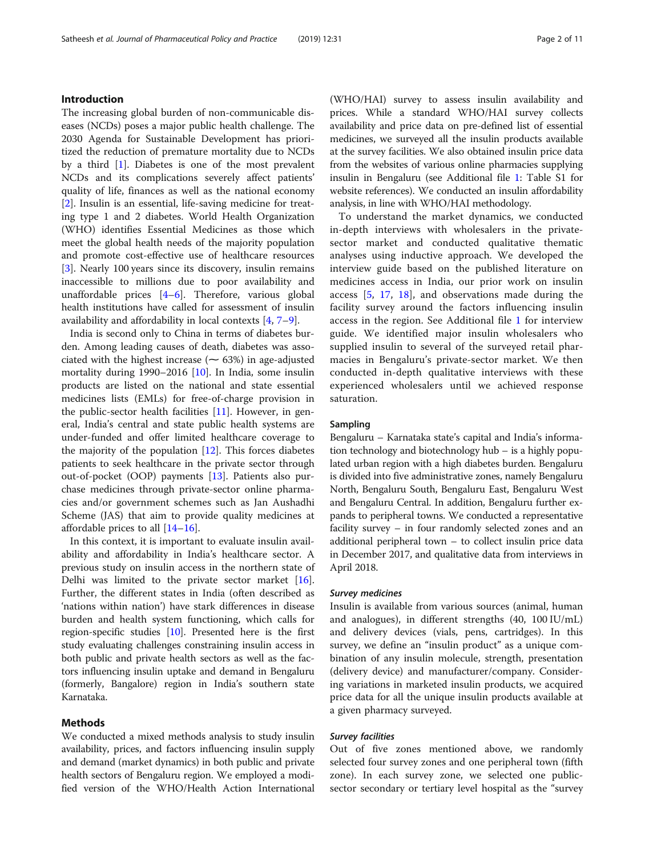## Introduction

The increasing global burden of non-communicable diseases (NCDs) poses a major public health challenge. The 2030 Agenda for Sustainable Development has prioritized the reduction of premature mortality due to NCDs by a third [\[1](#page-9-0)]. Diabetes is one of the most prevalent NCDs and its complications severely affect patients' quality of life, finances as well as the national economy [[2\]](#page-10-0). Insulin is an essential, life-saving medicine for treating type 1 and 2 diabetes. World Health Organization (WHO) identifies Essential Medicines as those which meet the global health needs of the majority population and promote cost-effective use of healthcare resources [[3\]](#page-10-0). Nearly 100 years since its discovery, insulin remains inaccessible to millions due to poor availability and unaffordable prices [\[4](#page-10-0)–[6](#page-10-0)]. Therefore, various global health institutions have called for assessment of insulin availability and affordability in local contexts [[4,](#page-10-0) [7](#page-10-0)–[9\]](#page-10-0).

India is second only to China in terms of diabetes burden. Among leading causes of death, diabetes was associated with the highest increase  $($   $\sim$  63%) in age-adjusted mortality during 1990–2016 [\[10\]](#page-10-0). In India, some insulin products are listed on the national and state essential medicines lists (EMLs) for free-of-charge provision in the public-sector health facilities [\[11](#page-10-0)]. However, in general, India's central and state public health systems are under-funded and offer limited healthcare coverage to the majority of the population [\[12](#page-10-0)]. This forces diabetes patients to seek healthcare in the private sector through out-of-pocket (OOP) payments [[13](#page-10-0)]. Patients also purchase medicines through private-sector online pharmacies and/or government schemes such as Jan Aushadhi Scheme (JAS) that aim to provide quality medicines at affordable prices to all [\[14](#page-10-0)–[16\]](#page-10-0).

In this context, it is important to evaluate insulin availability and affordability in India's healthcare sector. A previous study on insulin access in the northern state of Delhi was limited to the private sector market [\[16](#page-10-0)]. Further, the different states in India (often described as 'nations within nation') have stark differences in disease burden and health system functioning, which calls for region-specific studies [[10](#page-10-0)]. Presented here is the first study evaluating challenges constraining insulin access in both public and private health sectors as well as the factors influencing insulin uptake and demand in Bengaluru (formerly, Bangalore) region in India's southern state Karnataka.

## Methods

We conducted a mixed methods analysis to study insulin availability, prices, and factors influencing insulin supply and demand (market dynamics) in both public and private health sectors of Bengaluru region. We employed a modified version of the WHO/Health Action International (WHO/HAI) survey to assess insulin availability and prices. While a standard WHO/HAI survey collects availability and price data on pre-defined list of essential medicines, we surveyed all the insulin products available at the survey facilities. We also obtained insulin price data from the websites of various online pharmacies supplying insulin in Bengaluru (see Additional file [1](#page-9-0): Table S1 for website references). We conducted an insulin affordability analysis, in line with WHO/HAI methodology.

To understand the market dynamics, we conducted in-depth interviews with wholesalers in the privatesector market and conducted qualitative thematic analyses using inductive approach. We developed the interview guide based on the published literature on medicines access in India, our prior work on insulin access [[5,](#page-10-0) [17,](#page-10-0) [18\]](#page-10-0), and observations made during the facility survey around the factors influencing insulin access in the region. See Additional file [1](#page-9-0) for interview guide. We identified major insulin wholesalers who supplied insulin to several of the surveyed retail pharmacies in Bengaluru's private-sector market. We then conducted in-depth qualitative interviews with these experienced wholesalers until we achieved response saturation.

#### Sampling

Bengaluru – Karnataka state's capital and India's information technology and biotechnology hub – is a highly populated urban region with a high diabetes burden. Bengaluru is divided into five administrative zones, namely Bengaluru North, Bengaluru South, Bengaluru East, Bengaluru West and Bengaluru Central. In addition, Bengaluru further expands to peripheral towns. We conducted a representative facility survey – in four randomly selected zones and an additional peripheral town – to collect insulin price data in December 2017, and qualitative data from interviews in April 2018.

#### Survey medicines

Insulin is available from various sources (animal, human and analogues), in different strengths (40, 100 IU/mL) and delivery devices (vials, pens, cartridges). In this survey, we define an "insulin product" as a unique combination of any insulin molecule, strength, presentation (delivery device) and manufacturer/company. Considering variations in marketed insulin products, we acquired price data for all the unique insulin products available at a given pharmacy surveyed.

### Survey facilities

Out of five zones mentioned above, we randomly selected four survey zones and one peripheral town (fifth zone). In each survey zone, we selected one publicsector secondary or tertiary level hospital as the "survey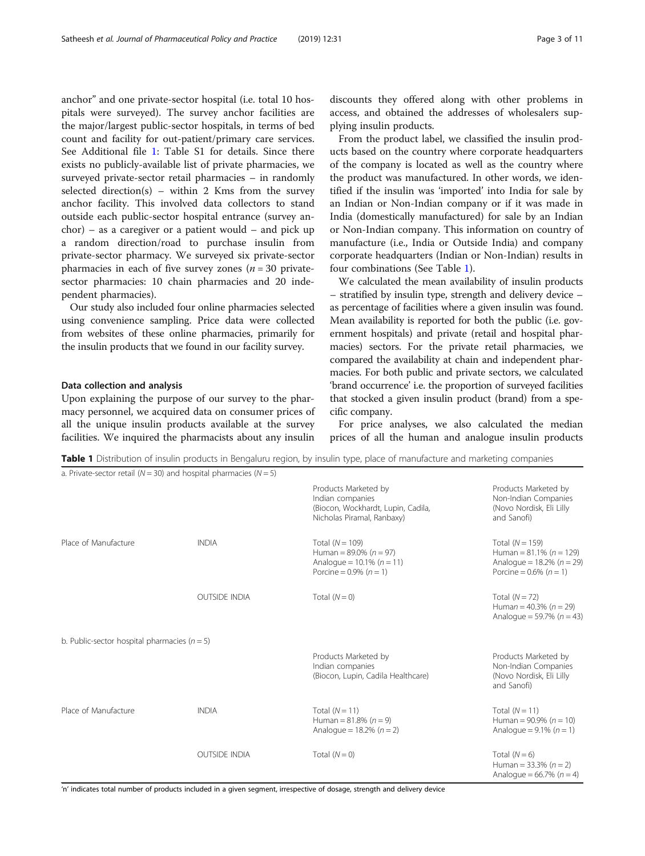<span id="page-2-0"></span>anchor" and one private-sector hospital (i.e. total 10 hospitals were surveyed). The survey anchor facilities are the major/largest public-sector hospitals, in terms of bed count and facility for out-patient/primary care services. See Additional file [1:](#page-9-0) Table S1 for details. Since there exists no publicly-available list of private pharmacies, we surveyed private-sector retail pharmacies – in randomly selected direction(s) – within 2 Kms from the survey anchor facility. This involved data collectors to stand outside each public-sector hospital entrance (survey anchor) – as a caregiver or a patient would – and pick up a random direction/road to purchase insulin from private-sector pharmacy. We surveyed six private-sector pharmacies in each of five survey zones ( $n = 30$  privatesector pharmacies: 10 chain pharmacies and 20 independent pharmacies).

Our study also included four online pharmacies selected using convenience sampling. Price data were collected from websites of these online pharmacies, primarily for the insulin products that we found in our facility survey.

#### Data collection and analysis

Upon explaining the purpose of our survey to the pharmacy personnel, we acquired data on consumer prices of all the unique insulin products available at the survey facilities. We inquired the pharmacists about any insulin

discounts they offered along with other problems in access, and obtained the addresses of wholesalers supplying insulin products.

From the product label, we classified the insulin products based on the country where corporate headquarters of the company is located as well as the country where the product was manufactured. In other words, we identified if the insulin was 'imported' into India for sale by an Indian or Non-Indian company or if it was made in India (domestically manufactured) for sale by an Indian or Non-Indian company. This information on country of manufacture (i.e., India or Outside India) and company corporate headquarters (Indian or Non-Indian) results in four combinations (See Table 1).

We calculated the mean availability of insulin products – stratified by insulin type, strength and delivery device – as percentage of facilities where a given insulin was found. Mean availability is reported for both the public (i.e. government hospitals) and private (retail and hospital pharmacies) sectors. For the private retail pharmacies, we compared the availability at chain and independent pharmacies. For both public and private sectors, we calculated 'brand occurrence' i.e. the proportion of surveyed facilities that stocked a given insulin product (brand) from a specific company.

For price analyses, we also calculated the median prices of all the human and analogue insulin products

a. Private-sector retail ( $N = 30$ ) and hospital pharmacies ( $N = 5$ ) Products Marketed by Indian companies (Biocon, Wockhardt, Lupin, Cadila, Nicholas Piramal, Ranbaxy) Products Marketed by Non-Indian Companies (Novo Nordisk, Eli Lilly and Sanofi) Place of Manufacture  $INDIA$  INDIA Total ( $N = 109$ ) Human =  $89.0\%$  ( $n = 97$ ) Analogue =  $10.1\% (n = 11)$ Porcine =  $0.9% (n = 1)$ Total  $(N = 159)$ Human =  $81.1\%$  ( $n = 129$ ) Analogue =  $18.2\%$  ( $n = 29$ ) Porcine =  $0.6\%$  ( $n = 1$ ) OUTSIDE INDIA  $\qquad \qquad \text{Total } (N = 0)$   $\qquad \qquad \text{Total } (N = 72)$ Human =  $40.3\%$  (n = 29) Analogue =  $59.7\%$  ( $n = 43$ ) b. Public-sector hospital pharmacies  $(n = 5)$ Products Marketed by Indian companies (Biocon, Lupin, Cadila Healthcare) Products Marketed by Non-Indian Companies (Novo Nordisk, Eli Lilly and Sanofi) Place of Manufacture  $INDIA$  INDIA  $Total (N = 11)$ Human =  $81.8\%$  ( $n = 9$ ) Analogue =  $18.2\%$  ( $n = 2$ ) Total  $(N = 11)$ Human =  $90.9% (n = 10)$ Analogue =  $9.1\% (n = 1)$  $OUTSIDE INDIA$  Total  $(N = 0)$  Total  $(N = 6)$ Human =  $33.3\%$  ( $n = 2$ ) Analogue =  $66.7\%$  ( $n = 4$ )

'n' indicates total number of products included in a given segment, irrespective of dosage, strength and delivery device

| <b>Table 1</b> Distribution of insulin products in Bengaluru region, by insulin type, place of manufacture and marketing companies |  |
|------------------------------------------------------------------------------------------------------------------------------------|--|
| a. Private-sector retail ( $N = 30$ ) and hospital pharmacies ( $N = 5$ )                                                          |  |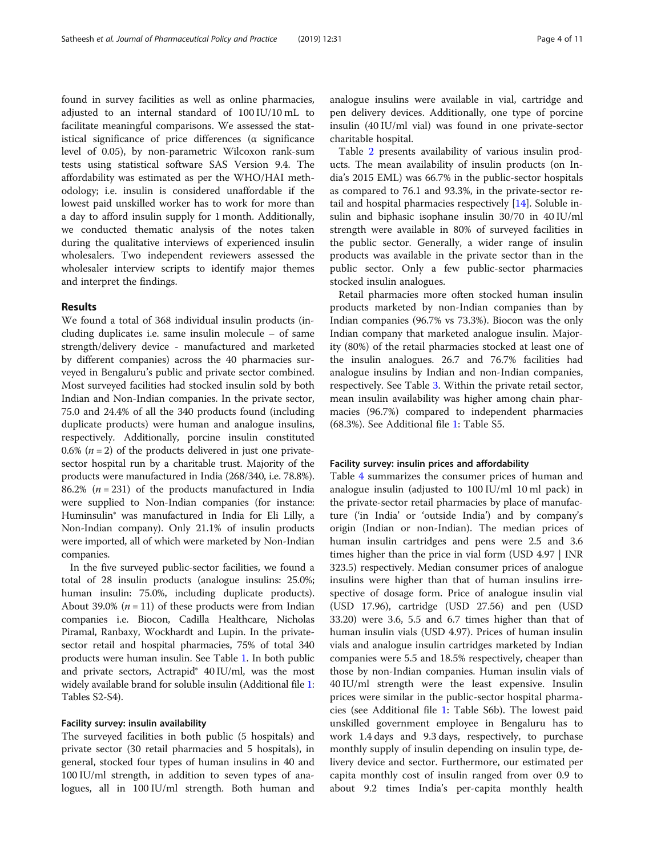found in survey facilities as well as online pharmacies, adjusted to an internal standard of 100 IU/10 mL to facilitate meaningful comparisons. We assessed the statistical significance of price differences ( $\alpha$  significance level of 0.05), by non-parametric Wilcoxon rank-sum tests using statistical software SAS Version 9.4. The affordability was estimated as per the WHO/HAI methodology; i.e. insulin is considered unaffordable if the lowest paid unskilled worker has to work for more than a day to afford insulin supply for 1 month. Additionally, we conducted thematic analysis of the notes taken during the qualitative interviews of experienced insulin wholesalers. Two independent reviewers assessed the wholesaler interview scripts to identify major themes and interpret the findings.

## Results

We found a total of 368 individual insulin products (including duplicates i.e. same insulin molecule – of same strength/delivery device - manufactured and marketed by different companies) across the 40 pharmacies surveyed in Bengaluru's public and private sector combined. Most surveyed facilities had stocked insulin sold by both Indian and Non-Indian companies. In the private sector, 75.0 and 24.4% of all the 340 products found (including duplicate products) were human and analogue insulins, respectively. Additionally, porcine insulin constituted 0.6%  $(n = 2)$  of the products delivered in just one privatesector hospital run by a charitable trust. Majority of the products were manufactured in India (268/340, i.e. 78.8%). 86.2% ( $n = 231$ ) of the products manufactured in India were supplied to Non-Indian companies (for instance: Huminsulin® was manufactured in India for Eli Lilly, a Non-Indian company). Only 21.1% of insulin products were imported, all of which were marketed by Non-Indian companies.

In the five surveyed public-sector facilities, we found a total of 28 insulin products (analogue insulins: 25.0%; human insulin: 75.0%, including duplicate products). About 39.0% ( $n = 11$ ) of these products were from Indian companies i.e. Biocon, Cadilla Healthcare, Nicholas Piramal, Ranbaxy, Wockhardt and Lupin. In the privatesector retail and hospital pharmacies, 75% of total 340 products were human insulin. See Table [1.](#page-2-0) In both public and private sectors, Actrapid® 40 IU/ml, was the most widely available brand for soluble insulin (Additional file [1](#page-9-0): Tables S2-S4).

#### Facility survey: insulin availability

The surveyed facilities in both public (5 hospitals) and private sector (30 retail pharmacies and 5 hospitals), in general, stocked four types of human insulins in 40 and 100 IU/ml strength, in addition to seven types of analogues, all in 100 IU/ml strength. Both human and analogue insulins were available in vial, cartridge and pen delivery devices. Additionally, one type of porcine insulin (40 IU/ml vial) was found in one private-sector charitable hospital.

Table [2](#page-4-0) presents availability of various insulin products. The mean availability of insulin products (on India's 2015 EML) was 66.7% in the public-sector hospitals as compared to 76.1 and 93.3%, in the private-sector retail and hospital pharmacies respectively [\[14\]](#page-10-0). Soluble insulin and biphasic isophane insulin 30/70 in 40 IU/ml strength were available in 80% of surveyed facilities in the public sector. Generally, a wider range of insulin products was available in the private sector than in the public sector. Only a few public-sector pharmacies stocked insulin analogues.

Retail pharmacies more often stocked human insulin products marketed by non-Indian companies than by Indian companies (96.7% vs 73.3%). Biocon was the only Indian company that marketed analogue insulin. Majority (80%) of the retail pharmacies stocked at least one of the insulin analogues. 26.7 and 76.7% facilities had analogue insulins by Indian and non-Indian companies, respectively. See Table [3.](#page-5-0) Within the private retail sector, mean insulin availability was higher among chain pharmacies (96.7%) compared to independent pharmacies (68.3%). See Additional file [1:](#page-9-0) Table S5.

#### Facility survey: insulin prices and affordability

Table [4](#page-6-0) summarizes the consumer prices of human and analogue insulin (adjusted to 100 IU/ml 10 ml pack) in the private-sector retail pharmacies by place of manufacture ('in India' or 'outside India') and by company's origin (Indian or non-Indian). The median prices of human insulin cartridges and pens were 2.5 and 3.6 times higher than the price in vial form (USD 4.97 | INR 323.5) respectively. Median consumer prices of analogue insulins were higher than that of human insulins irrespective of dosage form. Price of analogue insulin vial (USD 17.96), cartridge (USD 27.56) and pen (USD 33.20) were 3.6, 5.5 and 6.7 times higher than that of human insulin vials (USD 4.97). Prices of human insulin vials and analogue insulin cartridges marketed by Indian companies were 5.5 and 18.5% respectively, cheaper than those by non-Indian companies. Human insulin vials of 40 IU/ml strength were the least expensive. Insulin prices were similar in the public-sector hospital pharmacies (see Additional file [1:](#page-9-0) Table S6b). The lowest paid unskilled government employee in Bengaluru has to work 1.4 days and 9.3 days, respectively, to purchase monthly supply of insulin depending on insulin type, delivery device and sector. Furthermore, our estimated per capita monthly cost of insulin ranged from over 0.9 to about 9.2 times India's per-capita monthly health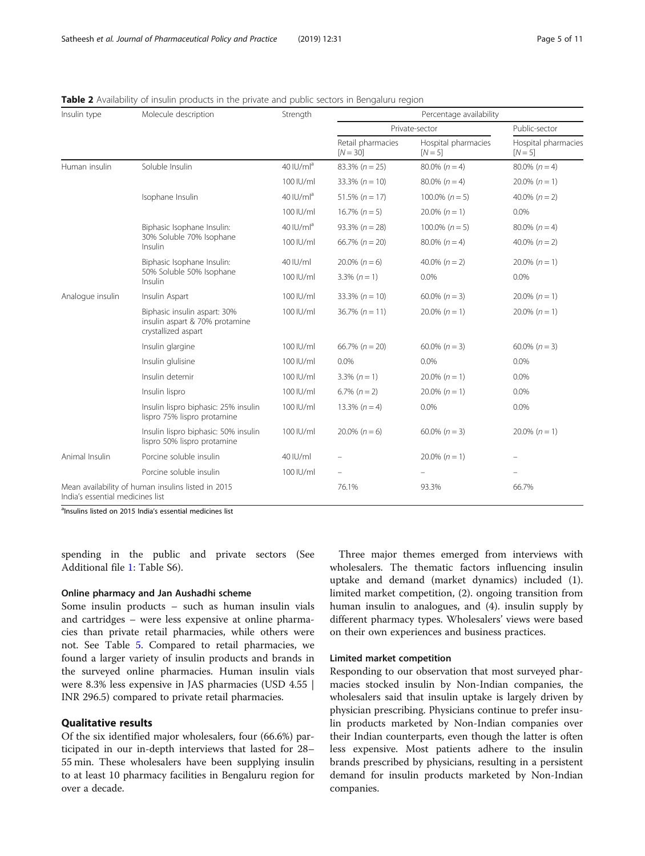| Insulin type                     | Molecule description                                                                  | Strength                | Percentage availability         |                                |                                |  |
|----------------------------------|---------------------------------------------------------------------------------------|-------------------------|---------------------------------|--------------------------------|--------------------------------|--|
|                                  |                                                                                       |                         | Private-sector                  | Public-sector                  |                                |  |
|                                  |                                                                                       |                         | Retail pharmacies<br>$[N = 30]$ | Hospital pharmacies<br>$[N=5]$ | Hospital pharmacies<br>$[N=5]$ |  |
| Human insulin                    | Soluble Insulin                                                                       | 40 $ U/m ^a$            | $83.3\% (n = 25)$               | $80.0\%$ ( $n = 4$ )           | $80.0\% (n=4)$                 |  |
|                                  |                                                                                       | 100 IU/ml               | $33.3\% (n = 10)$               | $80.0\%$ ( $n = 4$ )           | $20.0\% (n = 1)$               |  |
|                                  | Isophane Insulin                                                                      | 40 $ U/m $ <sup>a</sup> | $51.5\% (n = 17)$               | $100.0\% (n=5)$                | 40.0% $(n = 2)$                |  |
|                                  |                                                                                       | 100 IU/ml               | $16.7\% (n=5)$                  | $20.0\% (n = 1)$               | $0.0\%$                        |  |
|                                  | Biphasic Isophane Insulin:                                                            | $40$ IU/ml <sup>a</sup> | $93.3\% (n = 28)$               | $100.0\% (n=5)$                | $80.0\% (n=4)$                 |  |
|                                  | 30% Soluble 70% Isophane<br>Insulin                                                   | 100 IU/ml               | 66.7% ( $n = 20$ )              | $80.0\%$ ( $n = 4$ )           | 40.0% $(n = 2)$                |  |
|                                  | Biphasic Isophane Insulin:                                                            | 40 IU/ml                | $20.0\% (n = 6)$                | 40.0% $(n = 2)$                | $20.0\% (n = 1)$               |  |
|                                  | 50% Soluble 50% Isophane<br>Insulin                                                   | 100 IU/ml               | $3.3\% (n = 1)$                 | 0.0%                           | $0.0\%$                        |  |
| Analogue insulin                 | Insulin Aspart                                                                        | 100 IU/ml               | $33.3\% (n = 10)$               | 60.0% $(n = 3)$                | $20.0\% (n = 1)$               |  |
|                                  | Biphasic insulin aspart: 30%<br>insulin aspart & 70% protamine<br>crystallized aspart | 100 IU/ml               | $36.7\% (n = 11)$               | $20.0\% (n = 1)$               | $20.0\% (n = 1)$               |  |
|                                  | Insulin glargine                                                                      | 100 IU/ml               | 66.7% ( $n = 20$ )              | 60.0% $(n = 3)$                | $60.0\% (n=3)$                 |  |
|                                  | Insulin glulisine                                                                     | 100 IU/ml               | 0.0%                            | 0.0%                           | 0.0%                           |  |
|                                  | Insulin detemir                                                                       | 100 IU/ml               | $3.3\% (n = 1)$                 | $20.0\% (n = 1)$               | 0.0%                           |  |
|                                  | Insulin lispro                                                                        | 100 IU/ml               | 6.7% $(n = 2)$                  | $20.0\% (n = 1)$               | 0.0%                           |  |
|                                  | Insulin lispro biphasic: 25% insulin<br>lispro 75% lispro protamine                   | 100 IU/ml               | 13.3% $(n = 4)$                 | 0.0%                           | 0.0%                           |  |
|                                  | Insulin lispro biphasic: 50% insulin<br>lispro 50% lispro protamine                   | 100 IU/ml               | 20.0% $(n = 6)$                 | 60.0% $(n = 3)$                | $20.0\% (n = 1)$               |  |
| Animal Insulin                   | Porcine soluble insulin                                                               | 40 IU/ml                |                                 | $20.0\% (n = 1)$               |                                |  |
|                                  | Porcine soluble insulin                                                               | 100 IU/ml               |                                 |                                |                                |  |
| India's essential medicines list | Mean availability of human insulins listed in 2015                                    |                         | 76.1%                           | 93.3%                          | 66.7%                          |  |

<span id="page-4-0"></span>Table 2 Availability of insulin products in the private and public sectors in Bengaluru region

<sup>a</sup>Insulins listed on 2015 India's essential medicines list

spending in the public and private sectors (See Additional file [1](#page-9-0): Table S6).

#### Online pharmacy and Jan Aushadhi scheme

Some insulin products – such as human insulin vials and cartridges – were less expensive at online pharmacies than private retail pharmacies, while others were not. See Table [5](#page-6-0). Compared to retail pharmacies, we found a larger variety of insulin products and brands in the surveyed online pharmacies. Human insulin vials were 8.3% less expensive in JAS pharmacies (USD 4.55 | INR 296.5) compared to private retail pharmacies.

#### Qualitative results

Of the six identified major wholesalers, four (66.6%) participated in our in-depth interviews that lasted for 28– 55 min. These wholesalers have been supplying insulin to at least 10 pharmacy facilities in Bengaluru region for over a decade.

Three major themes emerged from interviews with wholesalers. The thematic factors influencing insulin uptake and demand (market dynamics) included (1). limited market competition, (2). ongoing transition from human insulin to analogues, and (4). insulin supply by different pharmacy types. Wholesalers' views were based on their own experiences and business practices.

## Limited market competition

Responding to our observation that most surveyed pharmacies stocked insulin by Non-Indian companies, the wholesalers said that insulin uptake is largely driven by physician prescribing. Physicians continue to prefer insulin products marketed by Non-Indian companies over their Indian counterparts, even though the latter is often less expensive. Most patients adhere to the insulin brands prescribed by physicians, resulting in a persistent demand for insulin products marketed by Non-Indian companies.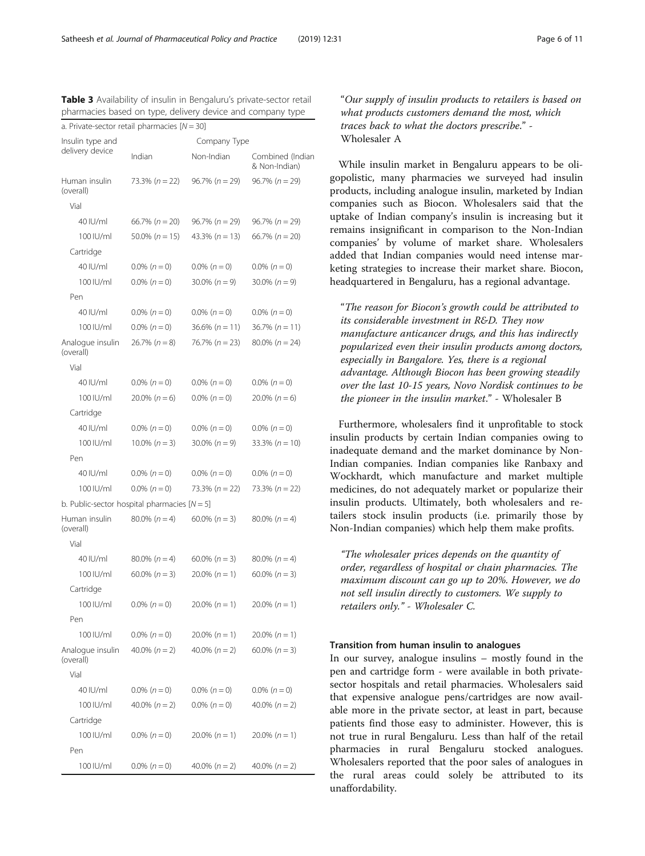| Page 6 of 11 |  |  |
|--------------|--|--|
|              |  |  |

| a. Private-sector retail pharmacies $[N=30]$ |                      |                    |                                   |
|----------------------------------------------|----------------------|--------------------|-----------------------------------|
| Insulin type and                             |                      | Company Type       |                                   |
| delivery device                              | Indian               | Non-Indian         | Combined (Indian<br>& Non-Indian) |
| Human insulin<br>(overall)                   | 73.3% ( $n = 22$ )   | $96.7\% (n = 29)$  | $96.7\% (n = 29)$                 |
| Vial                                         |                      |                    |                                   |
| 40 IU/ml                                     | 66.7% ( $n = 20$ )   | $96.7\% (n = 29)$  | $96.7\% (n = 29)$                 |
| 100 IU/ml                                    | $50.0\%$ (n = 15)    | 43.3% ( $n = 13$ ) | $66.7\% (n = 20)$                 |
| Cartridge                                    |                      |                    |                                   |
| 40 IU/ml                                     | $0.0\%$ $(n = 0)$    | $0.0\%$ $(n = 0)$  | $0.0\%$ $(n = 0)$                 |
| 100 IU/ml                                    | $0.0\%$ $(n = 0)$    | $30.0\% (n = 9)$   | $30.0\% (n=9)$                    |
| Pen                                          |                      |                    |                                   |
| 40 IU/ml                                     | $0.0\%$ $(n = 0)$    | $0.0\%$ $(n = 0)$  | $0.0\%$ $(n = 0)$                 |
| 100 IU/ml                                    | $0.0\%$ $(n = 0)$    | $36.6\% (n = 11)$  | $36.7\% (n = 11)$                 |
| Analogue insulin<br>(overall)                | $26.7\% (n = 8)$     | 76.7% ( $n = 23$ ) | $80.0\%$ ( $n = 24$ )             |
| Vial                                         |                      |                    |                                   |
| 40 IU/ml                                     | $0.0\%$ ( $n = 0$ )  | $0.0\%$ $(n=0)$    | $0.0\%$ $(n = 0)$                 |
| 100 IU/ml                                    | $20.0\% (n=6)$       | $0.0\%$ $(n = 0)$  | $20.0\% (n=6)$                    |
| Cartridge                                    |                      |                    |                                   |
| 40 IU/ml                                     | $0.0\%$ $(n = 0)$    | $0.0\%$ $(n = 0)$  | $0.0\%$ $(n = 0)$                 |
| 100 IU/ml                                    | $10.0\% (n=3)$       | 30.0% $(n = 9)$    | $33.3\% (n = 10)$                 |
| Pen                                          |                      |                    |                                   |
| 40 IU/ml                                     | $0.0\%$ $(n = 0)$    | $0.0\%$ $(n = 0)$  | $0.0\%$ $(n = 0)$                 |
| 100 IU/ml                                    | $0.0\%$ ( $n = 0$ )  | $73.3\% (n = 22)$  | 73.3% ( $n = 22$ )                |
| b. Public-sector hospital pharmacies $[N=5]$ |                      |                    |                                   |
| Human insulin<br>(overall)                   | $80.0\%$ (n = 4)     | $60.0\% (n=3)$     | $80.0\%$ (n = 4)                  |
| Vial                                         |                      |                    |                                   |
| $40$ IU/ml                                   | $80.0\%$ (n = 4)     | $60.0\% (n=3)$     | $80.0\%$ (n = 4)                  |
| 100 IU/ml                                    | $60.0\%$ ( $n = 3$ ) | $20.0\% (n = 1)$   | $60.0\%$ (n = 3)                  |
| Cartridge                                    |                      |                    |                                   |
| 100 IU/ml                                    | $0.0\%$ $(n = 0)$    | $20.0\% (n = 1)$   | $20.0\% (n = 1)$                  |
| Pen                                          |                      |                    |                                   |
| 100 IU/ml                                    | $0.0\%$ $(n = 0)$    | $20.0\% (n = 1)$   | $20.0\% (n = 1)$                  |
| Analoque insulin<br>(overall)                | 40.0% $(n=2)$        | 40.0% $(n = 2)$    | $60.0\% (n=3)$                    |
| Vial                                         |                      |                    |                                   |
| 40 IU/ml                                     | $0.0\%$ ( $n = 0$ )  | $0.0\%$ $(n = 0)$  | $0.0\%$ $(n = 0)$                 |
| 100 IU/ml                                    | 40.0% $(n = 2)$      | $0.0\%$ $(n = 0)$  | 40.0% $(n = 2)$                   |
| Cartridge                                    |                      |                    |                                   |
| 100 IU/ml                                    | $0.0\%$ ( $n = 0$ )  | $20.0\% (n = 1)$   | $20.0\% (n = 1)$                  |
| Pen                                          |                      |                    |                                   |
| 100 IU/ml                                    | $0.0\%$ ( $n = 0$ )  | 40.0% $(n = 2)$    | 40.0% $(n = 2)$                   |

<span id="page-5-0"></span>

|  | <b>Table 3</b> Availability of insulin in Bengaluru's private-sector retail |  |
|--|-----------------------------------------------------------------------------|--|
|  | pharmacies based on type, delivery device and company type                  |  |

"Our supply of insulin products to retailers is based on what products customers demand the most, which traces back to what the doctors prescribe." - Wholesaler A

While insulin market in Bengaluru appears to be oligopolistic, many pharmacies we surveyed had insulin products, including analogue insulin, marketed by Indian companies such as Biocon. Wholesalers said that the uptake of Indian company's insulin is increasing but it remains insignificant in comparison to the Non-Indian companies' by volume of market share. Wholesalers added that Indian companies would need intense marketing strategies to increase their market share. Biocon, headquartered in Bengaluru, has a regional advantage.

"The reason for Biocon's growth could be attributed to its considerable investment in R&D. They now manufacture anticancer drugs, and this has indirectly popularized even their insulin products among doctors, especially in Bangalore. Yes, there is a regional advantage. Although Biocon has been growing steadily over the last 10-15 years, Novo Nordisk continues to be the pioneer in the insulin market." - Wholesaler B

Furthermore, wholesalers find it unprofitable to stock insulin products by certain Indian companies owing to inadequate demand and the market dominance by Non-Indian companies. Indian companies like Ranbaxy and Wockhardt, which manufacture and market multiple medicines, do not adequately market or popularize their insulin products. Ultimately, both wholesalers and retailers stock insulin products (i.e. primarily those by Non-Indian companies) which help them make profits.

"The wholesaler prices depends on the quantity of order, regardless of hospital or chain pharmacies. The maximum discount can go up to 20%. However, we do not sell insulin directly to customers. We supply to retailers only." - Wholesaler C.

## Transition from human insulin to analogues

In our survey, analogue insulins – mostly found in the pen and cartridge form - were available in both privatesector hospitals and retail pharmacies. Wholesalers said that expensive analogue pens/cartridges are now available more in the private sector, at least in part, because patients find those easy to administer. However, this is not true in rural Bengaluru. Less than half of the retail pharmacies in rural Bengaluru stocked analogues. Wholesalers reported that the poor sales of analogues in the rural areas could solely be attributed to its unaffordability.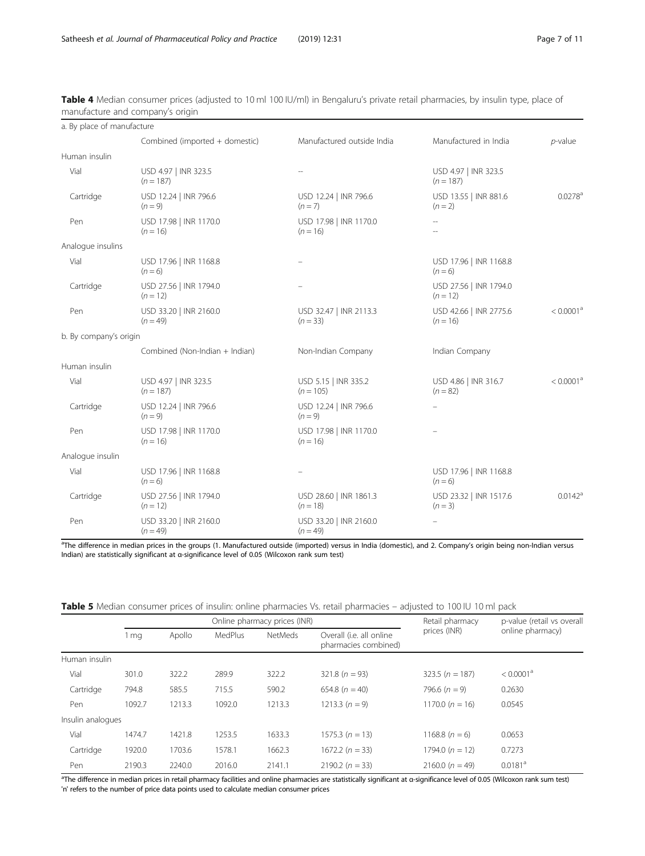| a. By place of manufacture |                                      |                                                     |                                            |                       |
|----------------------------|--------------------------------------|-----------------------------------------------------|--------------------------------------------|-----------------------|
|                            | Combined (imported + domestic)       | Manufactured outside India                          | Manufactured in India                      | $p$ -value            |
| Human insulin              |                                      |                                                     |                                            |                       |
| Vial                       | USD 4.97   INR 323.5<br>$(n = 187)$  | $\hspace{0.05cm} -\hspace{0.05cm} -\hspace{0.05cm}$ | USD 4.97   INR 323.5<br>$(n = 187)$        |                       |
| Cartridge                  | USD 12.24   INR 796.6<br>$(n = 9)$   | USD 12.24   INR 796.6<br>$(n=7)$                    | USD 13.55   INR 881.6<br>$(n=2)$           | $0.0278$ <sup>a</sup> |
| Pen                        | USD 17.98   INR 1170.0<br>$(n = 16)$ | USD 17.98   INR 1170.0<br>$(n = 16)$                | $\overline{\phantom{a}}$<br>$\overline{a}$ |                       |
| Analogue insulins          |                                      |                                                     |                                            |                       |
| Vial                       | USD 17.96   INR 1168.8<br>$(n = 6)$  | $\overline{\phantom{0}}$                            | USD 17.96   INR 1168.8<br>$(n = 6)$        |                       |
| Cartridge                  | USD 27.56   INR 1794.0<br>$(n = 12)$ |                                                     | USD 27.56   INR 1794.0<br>$(n = 12)$       |                       |
| Pen                        | USD 33.20   INR 2160.0<br>$(n = 49)$ | USD 32.47   INR 2113.3<br>$(n=33)$                  | USD 42.66   INR 2775.6<br>$(n = 16)$       | < 0.0001 <sup>a</sup> |
| b. By company's origin     |                                      |                                                     |                                            |                       |
|                            | Combined (Non-Indian + Indian)       | Non-Indian Company                                  | Indian Company                             |                       |
| Human insulin              |                                      |                                                     |                                            |                       |
| Vial                       | USD 4.97   INR 323.5<br>$(n = 187)$  | USD 5.15   INR 335.2<br>$(n = 105)$                 | USD 4.86   INR 316.7<br>$(n = 82)$         | < 0.0001 <sup>a</sup> |
| Cartridge                  | USD 12.24   INR 796.6<br>$(n = 9)$   | USD 12.24   INR 796.6<br>$(n = 9)$                  |                                            |                       |
| Pen                        | USD 17.98   INR 1170.0<br>$(n = 16)$ | USD 17.98   INR 1170.0<br>$(n = 16)$                | $\overline{\phantom{0}}$                   |                       |
| Analogue insulin           |                                      |                                                     |                                            |                       |
| Vial                       | USD 17.96   INR 1168.8<br>$(n = 6)$  |                                                     | USD 17.96   INR 1168.8<br>$(n = 6)$        |                       |
| Cartridge                  | USD 27.56   INR 1794.0<br>$(n = 12)$ | USD 28.60   INR 1861.3<br>$(n = 18)$                | USD 23.32   INR 1517.6<br>$(n=3)$          | $0.0142^a$            |
| Pen                        | USD 33.20   INR 2160.0<br>$(n = 49)$ | USD 33.20   INR 2160.0<br>$(n = 49)$                |                                            |                       |

<span id="page-6-0"></span>Table 4 Median consumer prices (adjusted to 10 ml 100 IU/ml) in Bengaluru's private retail pharmacies, by insulin type, place of manufacture and company's origin

<sup>a</sup>The difference in median prices in the groups (1. Manufactured outside (imported) versus in India (domestic), and 2. Company's origin being non-Indian versus Indian) are statistically significant at α-significance level of 0.05 (Wilcoxon rank sum test)

|  |  | <b>Table 5</b> Median consumer prices of insulin: online pharmacies Vs. retail pharmacies – adjusted to 100 IU 10 ml pack |  |
|--|--|---------------------------------------------------------------------------------------------------------------------------|--|
|  |  |                                                                                                                           |  |

|                   | Online pharmacy prices (INR) |        |         | Retail pharmacy | p-value (retail vs overall                       |                     |                       |  |
|-------------------|------------------------------|--------|---------|-----------------|--------------------------------------------------|---------------------|-----------------------|--|
|                   | 1 <sub>mq</sub>              | Apollo | MedPlus | <b>NetMeds</b>  | Overall (i.e. all online<br>pharmacies combined) | prices (INR)        | online pharmacy)      |  |
| Human insulin     |                              |        |         |                 |                                                  |                     |                       |  |
| Vial              | 301.0                        | 322.2  | 289.9   | 322.2           | $321.8 (n = 93)$                                 | 323.5 ( $n = 187$ ) | < 0.0001 <sup>a</sup> |  |
| Cartridge         | 794.8                        | 585.5  | 715.5   | 590.2           | 654.8 $(n = 40)$                                 | 796.6 $(n = 9)$     | 0.2630                |  |
| Pen               | 1092.7                       | 1213.3 | 1092.0  | 1213.3          | 1213.3 $(n = 9)$                                 | $1170.0 (n = 16)$   | 0.0545                |  |
| Insulin analogues |                              |        |         |                 |                                                  |                     |                       |  |
| Vial              | 1474.7                       | 1421.8 | 1253.5  | 1633.3          | $1575.3(n = 13)$                                 | 1168.8 $(n = 6)$    | 0.0653                |  |
| Cartridge         | 1920.0                       | 1703.6 | 1578.1  | 1662.3          | $1672.2 (n = 33)$                                | $1794.0 (n = 12)$   | 0.7273                |  |
| Pen               | 2190.3                       | 2240.0 | 2016.0  | 2141.1          | 2190.2 $(n = 33)$                                | $2160.0 (n = 49)$   | $0.0181$ <sup>a</sup> |  |

a<br>The difference in median prices in retail pharmacy facilities and online pharmacies are statistically significant at α-significance level of 0.05 (Wilcoxon rank sum test) 'n' refers to the number of price data points used to calculate median consumer prices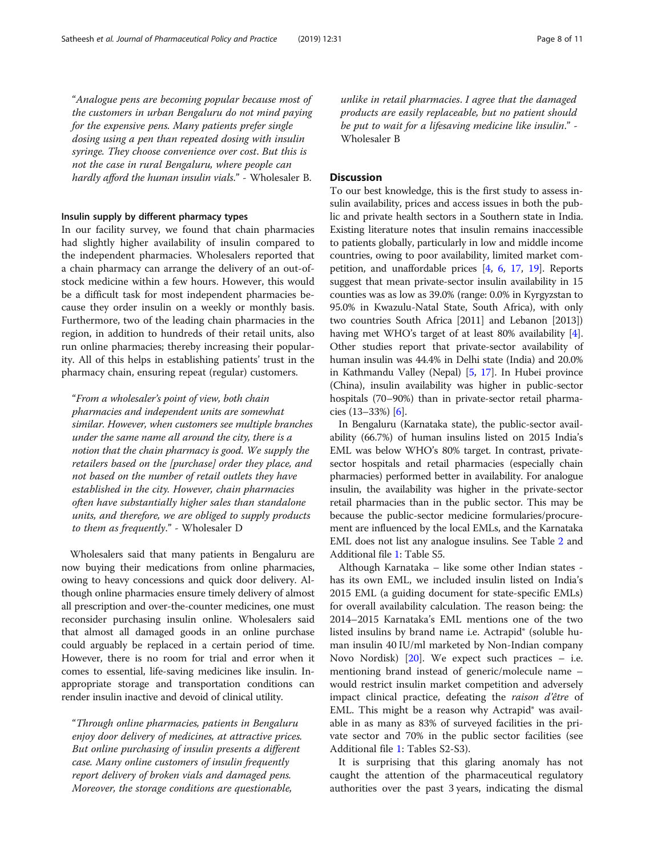"Analogue pens are becoming popular because most of the customers in urban Bengaluru do not mind paying for the expensive pens. Many patients prefer single dosing using a pen than repeated dosing with insulin syringe. They choose convenience over cost. But this is not the case in rural Bengaluru, where people can hardly afford the human insulin vials." - Wholesaler B.

## Insulin supply by different pharmacy types

In our facility survey, we found that chain pharmacies had slightly higher availability of insulin compared to the independent pharmacies. Wholesalers reported that a chain pharmacy can arrange the delivery of an out-ofstock medicine within a few hours. However, this would be a difficult task for most independent pharmacies because they order insulin on a weekly or monthly basis. Furthermore, two of the leading chain pharmacies in the region, in addition to hundreds of their retail units, also run online pharmacies; thereby increasing their popularity. All of this helps in establishing patients' trust in the pharmacy chain, ensuring repeat (regular) customers.

"From a wholesaler's point of view, both chain pharmacies and independent units are somewhat similar. However, when customers see multiple branches under the same name all around the city, there is a notion that the chain pharmacy is good. We supply the retailers based on the [purchase] order they place, and not based on the number of retail outlets they have established in the city. However, chain pharmacies often have substantially higher sales than standalone units, and therefore, we are obliged to supply products to them as frequently." - Wholesaler D

Wholesalers said that many patients in Bengaluru are now buying their medications from online pharmacies, owing to heavy concessions and quick door delivery. Although online pharmacies ensure timely delivery of almost all prescription and over-the-counter medicines, one must reconsider purchasing insulin online. Wholesalers said that almost all damaged goods in an online purchase could arguably be replaced in a certain period of time. However, there is no room for trial and error when it comes to essential, life-saving medicines like insulin. Inappropriate storage and transportation conditions can render insulin inactive and devoid of clinical utility.

"Through online pharmacies, patients in Bengaluru enjoy door delivery of medicines, at attractive prices. But online purchasing of insulin presents a different case. Many online customers of insulin frequently report delivery of broken vials and damaged pens. Moreover, the storage conditions are questionable,

unlike in retail pharmacies. I agree that the damaged products are easily replaceable, but no patient should be put to wait for a lifesaving medicine like insulin." - Wholesaler B

## **Discussion**

To our best knowledge, this is the first study to assess insulin availability, prices and access issues in both the public and private health sectors in a Southern state in India. Existing literature notes that insulin remains inaccessible to patients globally, particularly in low and middle income countries, owing to poor availability, limited market competition, and unaffordable prices [\[4](#page-10-0), [6,](#page-10-0) [17](#page-10-0), [19\]](#page-10-0). Reports suggest that mean private-sector insulin availability in 15 counties was as low as 39.0% (range: 0.0% in Kyrgyzstan to 95.0% in Kwazulu-Natal State, South Africa), with only two countries South Africa [2011] and Lebanon [2013]) having met WHO's target of at least 80% availability [[4](#page-10-0)]. Other studies report that private-sector availability of human insulin was 44.4% in Delhi state (India) and 20.0% in Kathmandu Valley (Nepal) [\[5,](#page-10-0) [17\]](#page-10-0). In Hubei province (China), insulin availability was higher in public-sector hospitals (70–90%) than in private-sector retail pharmacies  $(13-33%)$  [[6\]](#page-10-0).

In Bengaluru (Karnataka state), the public-sector availability (66.7%) of human insulins listed on 2015 India's EML was below WHO's 80% target. In contrast, privatesector hospitals and retail pharmacies (especially chain pharmacies) performed better in availability. For analogue insulin, the availability was higher in the private-sector retail pharmacies than in the public sector. This may be because the public-sector medicine formularies/procurement are influenced by the local EMLs, and the Karnataka EML does not list any analogue insulins. See Table [2](#page-4-0) and Additional file [1](#page-9-0): Table S5.

Although Karnataka – like some other Indian states has its own EML, we included insulin listed on India's 2015 EML (a guiding document for state-specific EMLs) for overall availability calculation. The reason being: the 2014–2015 Karnataka's EML mentions one of the two listed insulins by brand name i.e. Actrapid® (soluble human insulin 40 IU/ml marketed by Non-Indian company Novo Nordisk)  $[20]$ . We expect such practices – i.e. mentioning brand instead of generic/molecule name – would restrict insulin market competition and adversely impact clinical practice, defeating the raison d'être of EML. This might be a reason why Actrapid<sup>®</sup> was available in as many as 83% of surveyed facilities in the private sector and 70% in the public sector facilities (see Additional file [1](#page-9-0): Tables S2-S3).

It is surprising that this glaring anomaly has not caught the attention of the pharmaceutical regulatory authorities over the past 3 years, indicating the dismal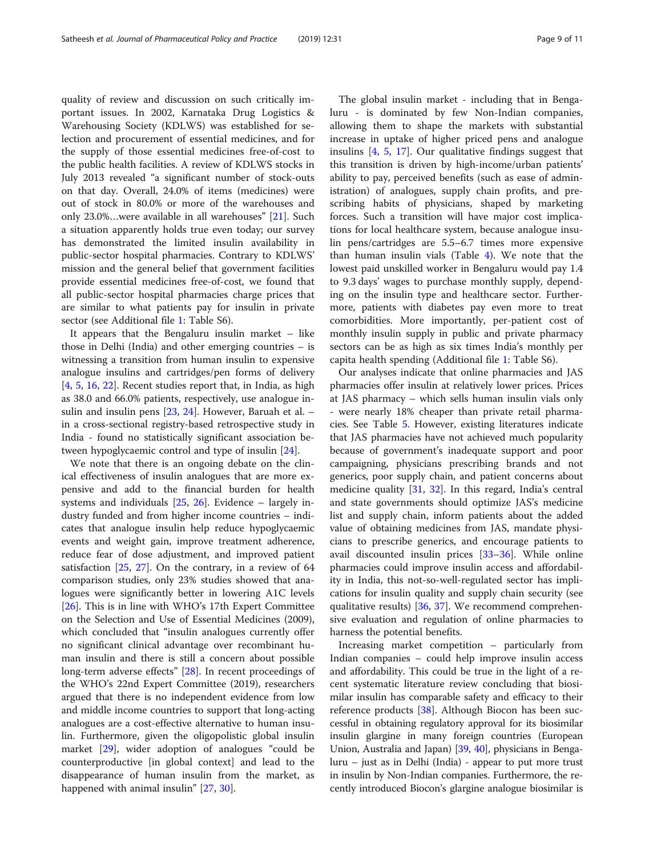quality of review and discussion on such critically important issues. In 2002, Karnataka Drug Logistics & Warehousing Society (KDLWS) was established for selection and procurement of essential medicines, and for the supply of those essential medicines free-of-cost to the public health facilities. A review of KDLWS stocks in July 2013 revealed "a significant number of stock-outs on that day. Overall, 24.0% of items (medicines) were out of stock in 80.0% or more of the warehouses and only 23.0%…were available in all warehouses" [[21\]](#page-10-0). Such a situation apparently holds true even today; our survey has demonstrated the limited insulin availability in public-sector hospital pharmacies. Contrary to KDLWS' mission and the general belief that government facilities provide essential medicines free-of-cost, we found that all public-sector hospital pharmacies charge prices that are similar to what patients pay for insulin in private sector (see Additional file [1](#page-9-0): Table S6).

It appears that the Bengaluru insulin market – like those in Delhi (India) and other emerging countries – is witnessing a transition from human insulin to expensive analogue insulins and cartridges/pen forms of delivery [[4,](#page-10-0) [5,](#page-10-0) [16,](#page-10-0) [22\]](#page-10-0). Recent studies report that, in India, as high as 38.0 and 66.0% patients, respectively, use analogue insulin and insulin pens [[23,](#page-10-0) [24\]](#page-10-0). However, Baruah et al. – in a cross-sectional registry-based retrospective study in India - found no statistically significant association between hypoglycaemic control and type of insulin [[24\]](#page-10-0).

We note that there is an ongoing debate on the clinical effectiveness of insulin analogues that are more expensive and add to the financial burden for health systems and individuals  $[25, 26]$  $[25, 26]$  $[25, 26]$  $[25, 26]$  $[25, 26]$ . Evidence – largely industry funded and from higher income countries – indicates that analogue insulin help reduce hypoglycaemic events and weight gain, improve treatment adherence, reduce fear of dose adjustment, and improved patient satisfaction  $[25, 27]$  $[25, 27]$  $[25, 27]$  $[25, 27]$ . On the contrary, in a review of 64 comparison studies, only 23% studies showed that analogues were significantly better in lowering A1C levels [[26\]](#page-10-0). This is in line with WHO's 17th Expert Committee on the Selection and Use of Essential Medicines (2009), which concluded that "insulin analogues currently offer no significant clinical advantage over recombinant human insulin and there is still a concern about possible long-term adverse effects" [[28\]](#page-10-0). In recent proceedings of the WHO's 22nd Expert Committee (2019), researchers argued that there is no independent evidence from low and middle income countries to support that long-acting analogues are a cost-effective alternative to human insulin. Furthermore, given the oligopolistic global insulin market [[29\]](#page-10-0), wider adoption of analogues "could be counterproductive [in global context] and lead to the disappearance of human insulin from the market, as happened with animal insulin" [[27,](#page-10-0) [30](#page-10-0)].

The global insulin market - including that in Bengaluru - is dominated by few Non-Indian companies, allowing them to shape the markets with substantial increase in uptake of higher priced pens and analogue insulins [\[4](#page-10-0), [5](#page-10-0), [17](#page-10-0)]. Our qualitative findings suggest that this transition is driven by high-income/urban patients' ability to pay, perceived benefits (such as ease of administration) of analogues, supply chain profits, and prescribing habits of physicians, shaped by marketing forces. Such a transition will have major cost implications for local healthcare system, because analogue insulin pens/cartridges are 5.5–6.7 times more expensive than human insulin vials (Table [4](#page-6-0)). We note that the lowest paid unskilled worker in Bengaluru would pay 1.4 to 9.3 days' wages to purchase monthly supply, depending on the insulin type and healthcare sector. Furthermore, patients with diabetes pay even more to treat comorbidities. More importantly, per-patient cost of monthly insulin supply in public and private pharmacy sectors can be as high as six times India's monthly per capita health spending (Additional file [1](#page-9-0): Table S6).

Our analyses indicate that online pharmacies and JAS pharmacies offer insulin at relatively lower prices. Prices at JAS pharmacy – which sells human insulin vials only - were nearly 18% cheaper than private retail pharmacies. See Table [5](#page-6-0). However, existing literatures indicate that JAS pharmacies have not achieved much popularity because of government's inadequate support and poor campaigning, physicians prescribing brands and not generics, poor supply chain, and patient concerns about medicine quality [[31,](#page-10-0) [32\]](#page-10-0). In this regard, India's central and state governments should optimize JAS's medicine list and supply chain, inform patients about the added value of obtaining medicines from JAS, mandate physicians to prescribe generics, and encourage patients to avail discounted insulin prices [[33](#page-10-0)–[36](#page-10-0)]. While online pharmacies could improve insulin access and affordability in India, this not-so-well-regulated sector has implications for insulin quality and supply chain security (see qualitative results) [\[36,](#page-10-0) [37](#page-10-0)]. We recommend comprehensive evaluation and regulation of online pharmacies to harness the potential benefits.

Increasing market competition – particularly from Indian companies – could help improve insulin access and affordability. This could be true in the light of a recent systematic literature review concluding that biosimilar insulin has comparable safety and efficacy to their reference products [[38\]](#page-10-0). Although Biocon has been successful in obtaining regulatory approval for its biosimilar insulin glargine in many foreign countries (European Union, Australia and Japan) [\[39,](#page-10-0) [40\]](#page-10-0), physicians in Bengaluru – just as in Delhi (India) - appear to put more trust in insulin by Non-Indian companies. Furthermore, the recently introduced Biocon's glargine analogue biosimilar is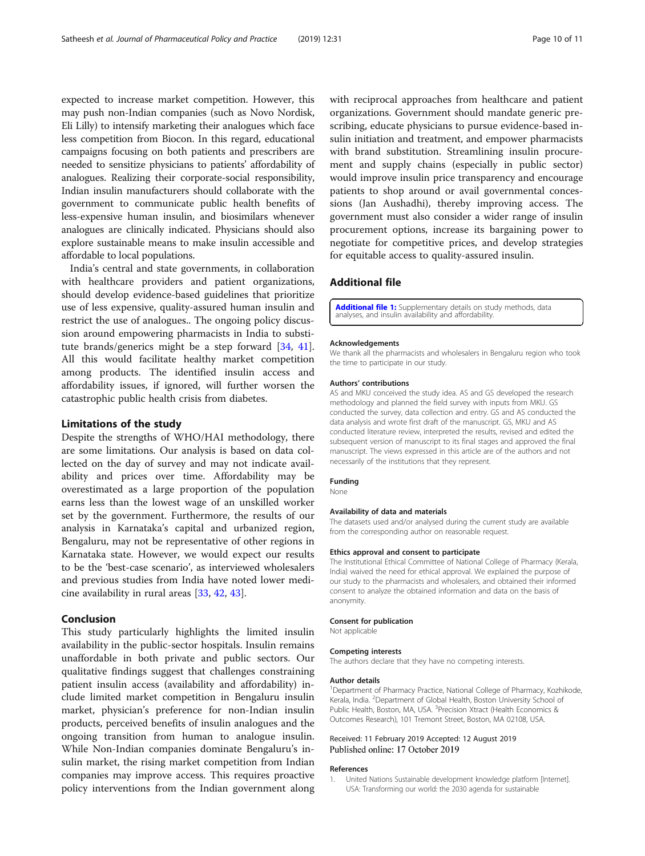<span id="page-9-0"></span>expected to increase market competition. However, this may push non-Indian companies (such as Novo Nordisk, Eli Lilly) to intensify marketing their analogues which face less competition from Biocon. In this regard, educational campaigns focusing on both patients and prescribers are needed to sensitize physicians to patients' affordability of analogues. Realizing their corporate-social responsibility, Indian insulin manufacturers should collaborate with the government to communicate public health benefits of less-expensive human insulin, and biosimilars whenever analogues are clinically indicated. Physicians should also explore sustainable means to make insulin accessible and affordable to local populations.

India's central and state governments, in collaboration with healthcare providers and patient organizations, should develop evidence-based guidelines that prioritize use of less expensive, quality-assured human insulin and restrict the use of analogues.. The ongoing policy discussion around empowering pharmacists in India to substitute brands/generics might be a step forward [[34,](#page-10-0) [41](#page-10-0)]. All this would facilitate healthy market competition among products. The identified insulin access and affordability issues, if ignored, will further worsen the catastrophic public health crisis from diabetes.

#### Limitations of the study

Despite the strengths of WHO/HAI methodology, there are some limitations. Our analysis is based on data collected on the day of survey and may not indicate availability and prices over time. Affordability may be overestimated as a large proportion of the population earns less than the lowest wage of an unskilled worker set by the government. Furthermore, the results of our analysis in Karnataka's capital and urbanized region, Bengaluru, may not be representative of other regions in Karnataka state. However, we would expect our results to be the 'best-case scenario', as interviewed wholesalers and previous studies from India have noted lower medicine availability in rural areas [[33,](#page-10-0) [42](#page-10-0), [43](#page-10-0)].

## Conclusion

This study particularly highlights the limited insulin availability in the public-sector hospitals. Insulin remains unaffordable in both private and public sectors. Our qualitative findings suggest that challenges constraining patient insulin access (availability and affordability) include limited market competition in Bengaluru insulin market, physician's preference for non-Indian insulin products, perceived benefits of insulin analogues and the ongoing transition from human to analogue insulin. While Non-Indian companies dominate Bengaluru's insulin market, the rising market competition from Indian companies may improve access. This requires proactive policy interventions from the Indian government along

with reciprocal approaches from healthcare and patient organizations. Government should mandate generic prescribing, educate physicians to pursue evidence-based insulin initiation and treatment, and empower pharmacists with brand substitution. Streamlining insulin procurement and supply chains (especially in public sector) would improve insulin price transparency and encourage patients to shop around or avail governmental concessions (Jan Aushadhi), thereby improving access. The government must also consider a wider range of insulin procurement options, increase its bargaining power to negotiate for competitive prices, and develop strategies for equitable access to quality-assured insulin.

## Additional file

[Additional](https://doi.org/10.1186/s40545-019-0190-1) file 1: Supplementary details on study methods, data analyses, and insulin availability and affordability.

#### Acknowledgements

We thank all the pharmacists and wholesalers in Bengaluru region who took the time to participate in our study.

#### Authors' contributions

AS and MKU conceived the study idea. AS and GS developed the research methodology and planned the field survey with inputs from MKU. GS conducted the survey, data collection and entry. GS and AS conducted the data analysis and wrote first draft of the manuscript. GS, MKU and AS conducted literature review, interpreted the results, revised and edited the subsequent version of manuscript to its final stages and approved the final manuscript. The views expressed in this article are of the authors and not necessarily of the institutions that they represent.

#### Funding

None

#### Availability of data and materials

The datasets used and/or analysed during the current study are available from the corresponding author on reasonable request.

#### Ethics approval and consent to participate

The Institutional Ethical Committee of National College of Pharmacy (Kerala, India) waived the need for ethical approval. We explained the purpose of our study to the pharmacists and wholesalers, and obtained their informed consent to analyze the obtained information and data on the basis of anonymity.

#### Consent for publication

Not applicable

#### Competing interests

The authors declare that they have no competing interests.

#### Author details

<sup>1</sup>Department of Pharmacy Practice, National College of Pharmacy, Kozhikode Kerala, India. <sup>2</sup>Department of Global Health, Boston University School of Public Health, Boston, MA, USA. <sup>3</sup> Precision Xtract (Health Economics & Outcomes Research), 101 Tremont Street, Boston, MA 02108, USA.

#### Received: 11 February 2019 Accepted: 12 August 2019 Published online: 17 October 2019

#### References

1. United Nations Sustainable development knowledge platform [Internet]. USA: Transforming our world: the 2030 agenda for sustainable